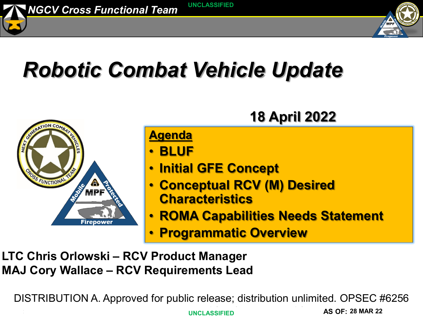



## *Robotic Combat Vehicle Update*



### **LTC Chris Orlowski – RCV Product Manager MAJ Cory Wallace – RCV Requirements Lead**

DISTRIBUTION A. Approved for public release; distribution unlimited. OPSEC #6256

**POC: UNCLASSIFIED AS OF:**

**28 MAR 22**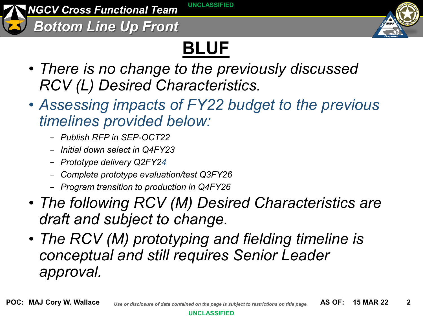*NGCV Cross Functional Team* **UNCLASSIFIED**

*Bottom Line Up Front*



## **BLUF**

- *There is no change to the previously discussed RCV (L) Desired Characteristics.*
- *Assessing impacts of FY22 budget to the previous timelines provided below:* 
	- − *Publish RFP in SEP-OCT22*
	- − *Initial down select in Q4FY23*
	- − *Prototype delivery Q2FY24*
	- − *Complete prototype evaluation/test Q3FY26*
	- − *Program transition to production in Q4FY26*
- *The following RCV (M) Desired Characteristics are draft and subject to change.*
- *The RCV (M) prototyping and fielding timeline is conceptual and still requires Senior Leader approval.*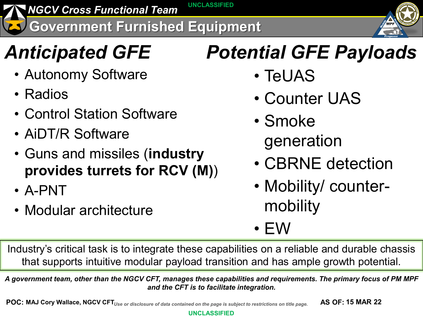**NGCV Cross Functional Team UNCLASSIFIED** 

**Government Furnished Equipment**

- Autonomy Software
- Radios
- Control Station Software
- AiDT/R Software
- Guns and missiles (**industry provides turrets for RCV (M)**)
- A-PNT
- Modular architecture

## *Anticipated GFE Potential GFE Payloads*

- TeUAS
- Counter UAS
- Smoke generation
- CBRNE detection
- Mobility/ countermobility
- $\bullet$  EW

Industry's critical task is to integrate these capabilities on a reliable and durable chassis that supports intuitive modular payload transition and has ample growth potential.

*A government team, other than the NGCV CFT, manages these capabilities and requirements. The primary focus of PM MPF and the CFT is to facilitate integration.*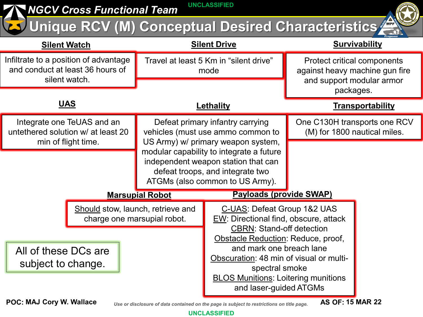| <b>UNCLASSIFIED</b><br><b>NGCV Cross Functional Team</b>                                                       |                                                                                                                                                                                                                                                                       |                                |                                                                                                                                                                                                                                                                                                                 |  |
|----------------------------------------------------------------------------------------------------------------|-----------------------------------------------------------------------------------------------------------------------------------------------------------------------------------------------------------------------------------------------------------------------|--------------------------------|-----------------------------------------------------------------------------------------------------------------------------------------------------------------------------------------------------------------------------------------------------------------------------------------------------------------|--|
| Unique RCV (M) Conceptual Desired Characteristics                                                              |                                                                                                                                                                                                                                                                       |                                |                                                                                                                                                                                                                                                                                                                 |  |
| <b>Silent Watch</b>                                                                                            | <b>Silent Drive</b>                                                                                                                                                                                                                                                   |                                | <b>Survivability</b>                                                                                                                                                                                                                                                                                            |  |
| Infiltrate to a position of advantage<br>and conduct at least 36 hours of<br>silent watch.                     | Travel at least 5 Km in "silent drive"<br>mode                                                                                                                                                                                                                        |                                | <b>Protect critical components</b><br>against heavy machine gun fire<br>and support modular armor<br>packages.                                                                                                                                                                                                  |  |
| <u>UAS</u>                                                                                                     | Lethality                                                                                                                                                                                                                                                             |                                | <b>Transportability</b>                                                                                                                                                                                                                                                                                         |  |
| Integrate one TeUAS and an<br>untethered solution w/ at least 20<br>min of flight time.                        | Defeat primary infantry carrying<br>vehicles (must use ammo common to<br>US Army) w/ primary weapon system,<br>modular capability to integrate a future<br>independent weapon station that can<br>defeat troops, and integrate two<br>ATGMs (also common to US Army). |                                | One C130H transports one RCV<br>(M) for 1800 nautical miles.                                                                                                                                                                                                                                                    |  |
|                                                                                                                |                                                                                                                                                                                                                                                                       |                                |                                                                                                                                                                                                                                                                                                                 |  |
| <b>Marsupial Robot</b>                                                                                         |                                                                                                                                                                                                                                                                       | <b>Payloads (provide SWAP)</b> |                                                                                                                                                                                                                                                                                                                 |  |
| Should stow, launch, retrieve and<br>charge one marsupial robot.<br>All of these DCs are<br>subject to change. |                                                                                                                                                                                                                                                                       |                                | C-UAS: Defeat Group 1&2 UAS<br>EW: Directional find, obscure, attack<br><b>CBRN: Stand-off detection</b><br>Obstacle Reduction: Reduce, proof,<br>and mark one breach lane<br>Obscuration: 48 min of visual or multi-<br>spectral smoke<br><b>BLOS Munitions: Loitering munitions</b><br>and laser-guided ATGMs |  |

**MAJ Cory W. Wallace**

Use or disclosure of data contained on the page is subject to restrictions on title page.

**15 MAR 22**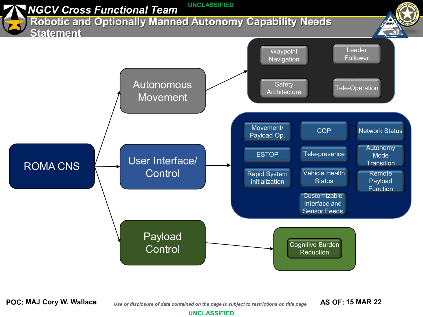

**POC:** *Use or disclosure of data contained on the page is subject to restrictions on title page.* **AS OF: MAJ Cory W. Wallace 15 MAR 22**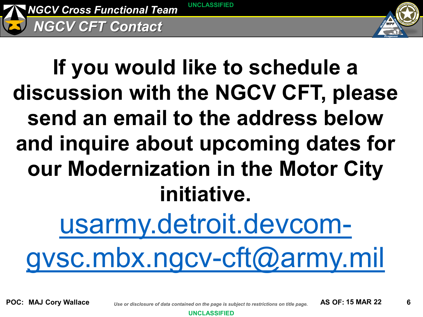

## **If you would like to schedule a discussion with the NGCV CFT, please send an email to the address below and inquire about upcoming dates for our Modernization in the Motor City initiative.**

usarmy.detroit.devcom-

[gvsc.mbx.ngcv-cft@army.mil](mailto:usarmy.detroit.devcom-gvsc.mbx.ngcv-cft@army.mil)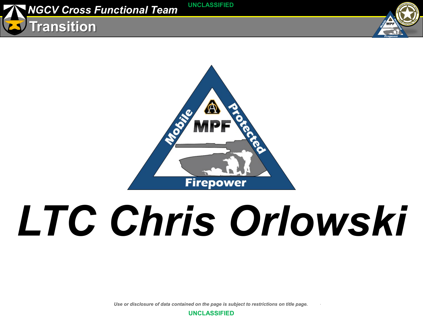





# *LTC Chris Orlowski*

*Use or disclosure of data contained on the page is subject to restrictions on title page.* 

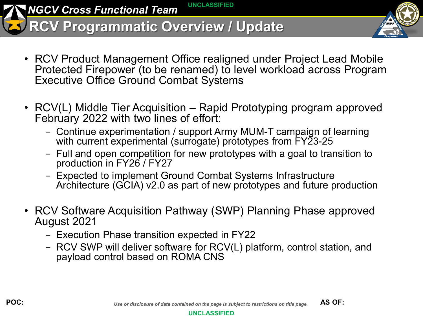*NGCV Cross Functional Team* **UNCLASSIFIED**

**RCV Programmatic Overview / Update**

- 
- RCV Product Management Office realigned under Project Lead Mobile Protected Firepower (to be renamed) to level workload across Program Executive Office Ground Combat Systems
- RCV(L) Middle Tier Acquisition Rapid Prototyping program approved February 2022 with two lines of effort:
	- − Continue experimentation / support Army MUM-T campaign of learning with current experimental (surrogate) prototypes from FY23-25
	- − Full and open competition for new prototypes with a goal to transition to production in FY26 / FY27
	- − Expected to implement Ground Combat Systems Infrastructure Architecture (GCIA) v2.0 as part of new prototypes and future production
- RCV Software Acquisition Pathway (SWP) Planning Phase approved August 2021
	- − Execution Phase transition expected in FY22
	- − RCV SWP will deliver software for RCV(L) platform, control station, and payload control based on ROMA CNS